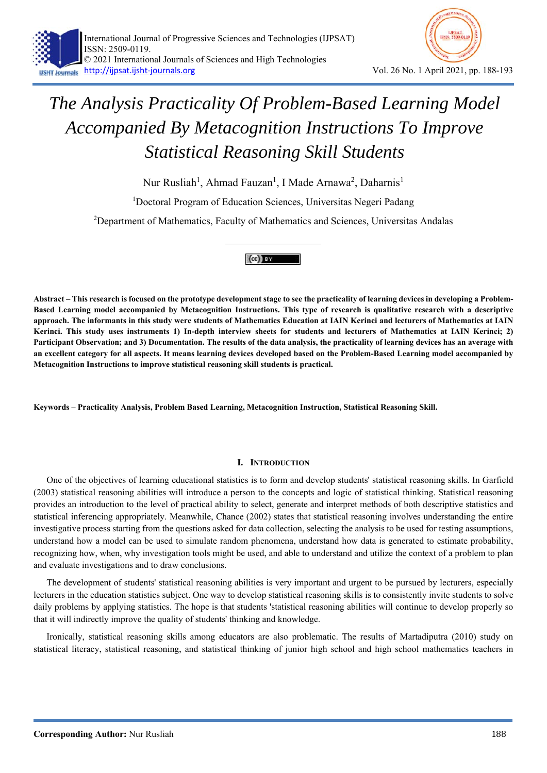

Nur Rusliah<sup>1</sup>, Ahmad Fauzan<sup>1</sup>, I Made Arnawa<sup>2</sup>, Daharnis<sup>1</sup>

<sup>1</sup>Doctoral Program of Education Sciences, Universitas Negeri Padang

<sup>2</sup>Department of Mathematics, Faculty of Mathematics and Sciences, Universitas Andalas



**Abstract – This research is focused on the prototype development stage to see the practicality of learning devices in developing a Problem-Based Learning model accompanied by Metacognition Instructions. This type of research is qualitative research with a descriptive approach. The informants in this study were students of Mathematics Education at IAIN Kerinci and lecturers of Mathematics at IAIN Kerinci. This study uses instruments 1) In-depth interview sheets for students and lecturers of Mathematics at IAIN Kerinci; 2) Participant Observation; and 3) Documentation. The results of the data analysis, the practicality of learning devices has an average with an excellent category for all aspects. It means learning devices developed based on the Problem-Based Learning model accompanied by Metacognition Instructions to improve statistical reasoning skill students is practical.** 

**Keywords – Practicality Analysis, Problem Based Learning, Metacognition Instruction, Statistical Reasoning Skill.** 

## **I. INTRODUCTION**

One of the objectives of learning educational statistics is to form and develop students' statistical reasoning skills. In Garfield (2003) statistical reasoning abilities will introduce a person to the concepts and logic of statistical thinking. Statistical reasoning provides an introduction to the level of practical ability to select, generate and interpret methods of both descriptive statistics and statistical inferencing appropriately. Meanwhile, Chance (2002) states that statistical reasoning involves understanding the entire investigative process starting from the questions asked for data collection, selecting the analysis to be used for testing assumptions, understand how a model can be used to simulate random phenomena, understand how data is generated to estimate probability, recognizing how, when, why investigation tools might be used, and able to understand and utilize the context of a problem to plan and evaluate investigations and to draw conclusions.

The development of students' statistical reasoning abilities is very important and urgent to be pursued by lecturers, especially lecturers in the education statistics subject. One way to develop statistical reasoning skills is to consistently invite students to solve daily problems by applying statistics. The hope is that students 'statistical reasoning abilities will continue to develop properly so that it will indirectly improve the quality of students' thinking and knowledge.

Ironically, statistical reasoning skills among educators are also problematic. The results of Martadiputra (2010) study on statistical literacy, statistical reasoning, and statistical thinking of junior high school and high school mathematics teachers in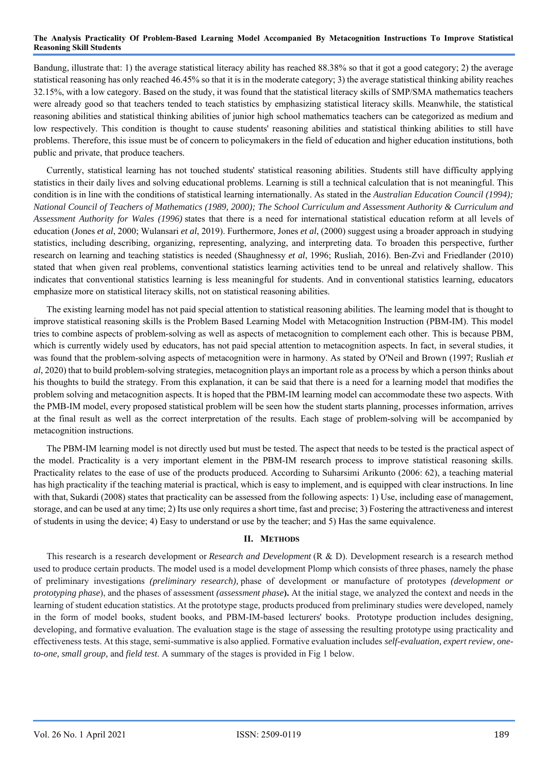Bandung, illustrate that: 1) the average statistical literacy ability has reached 88.38% so that it got a good category; 2) the average statistical reasoning has only reached 46.45% so that it is in the moderate category; 3) the average statistical thinking ability reaches 32.15%, with a low category. Based on the study, it was found that the statistical literacy skills of SMP/SMA mathematics teachers were already good so that teachers tended to teach statistics by emphasizing statistical literacy skills. Meanwhile, the statistical reasoning abilities and statistical thinking abilities of junior high school mathematics teachers can be categorized as medium and low respectively. This condition is thought to cause students' reasoning abilities and statistical thinking abilities to still have problems. Therefore, this issue must be of concern to policymakers in the field of education and higher education institutions, both public and private, that produce teachers.

Currently, statistical learning has not touched students' statistical reasoning abilities. Students still have difficulty applying statistics in their daily lives and solving educational problems. Learning is still a technical calculation that is not meaningful. This condition is in line with the conditions of statistical learning internationally. As stated in the *Australian Education Council (1994); National Council of Teachers of Mathematics (1989, 2000); The School Curriculum and Assessment Authority & Curriculum and Assessment Authority for Wales (1996)* states that there is a need for international statistical education reform at all levels of education (Jones *et al*, 2000; Wulansari *et al*, 2019). Furthermore, Jones *et al*, (2000) suggest using a broader approach in studying statistics, including describing, organizing, representing, analyzing, and interpreting data. To broaden this perspective, further research on learning and teaching statistics is needed (Shaughnessy *et al*, 1996; Rusliah, 2016). Ben-Zvi and Friedlander (2010) stated that when given real problems, conventional statistics learning activities tend to be unreal and relatively shallow. This indicates that conventional statistics learning is less meaningful for students. And in conventional statistics learning, educators emphasize more on statistical literacy skills, not on statistical reasoning abilities.

The existing learning model has not paid special attention to statistical reasoning abilities. The learning model that is thought to improve statistical reasoning skills is the Problem Based Learning Model with Metacognition Instruction (PBM-IM). This model tries to combine aspects of problem-solving as well as aspects of metacognition to complement each other. This is because PBM, which is currently widely used by educators, has not paid special attention to metacognition aspects. In fact, in several studies, it was found that the problem-solving aspects of metacognition were in harmony. As stated by O'Neil and Brown (1997; Rusliah *et al*, 2020) that to build problem-solving strategies, metacognition plays an important role as a process by which a person thinks about his thoughts to build the strategy. From this explanation, it can be said that there is a need for a learning model that modifies the problem solving and metacognition aspects. It is hoped that the PBM-IM learning model can accommodate these two aspects. With the PMB-IM model, every proposed statistical problem will be seen how the student starts planning, processes information, arrives at the final result as well as the correct interpretation of the results. Each stage of problem-solving will be accompanied by metacognition instructions.

The PBM-IM learning model is not directly used but must be tested. The aspect that needs to be tested is the practical aspect of the model. Practicality is a very important element in the PBM-IM research process to improve statistical reasoning skills. Practicality relates to the ease of use of the products produced. According to Suharsimi Arikunto (2006: 62), a teaching material has high practicality if the teaching material is practical, which is easy to implement, and is equipped with clear instructions. In line with that, Sukardi (2008) states that practicality can be assessed from the following aspects: 1) Use, including ease of management, storage, and can be used at any time; 2) Its use only requires a short time, fast and precise; 3) Fostering the attractiveness and interest of students in using the device; 4) Easy to understand or use by the teacher; and 5) Has the same equivalence.

## **II. METHODS**

This research is a research development or *Research and Development* (R & D). Development research is a research method used to produce certain products. The model used is a model development Plomp which consists of three phases, namely the phase of preliminary investigations *(preliminary research),* phase of development or manufacture of prototypes *(development or prototyping phase*), and the phases of assessment *(assessment phase***).** At the initial stage, we analyzed the context and needs in the learning of student education statistics. At the prototype stage, products produced from preliminary studies were developed, namely in the form of model books, student books, and PBM-IM-based lecturers' books. Prototype production includes designing, developing, and formative evaluation. The evaluation stage is the stage of assessing the resulting prototype using practicality and effectiveness tests. At this stage, semi-summative is also applied. Formative evaluation includes *self-evaluation, expert review, oneto-one, small group,* and *field test*. A summary of the stages is provided in Fig 1 below.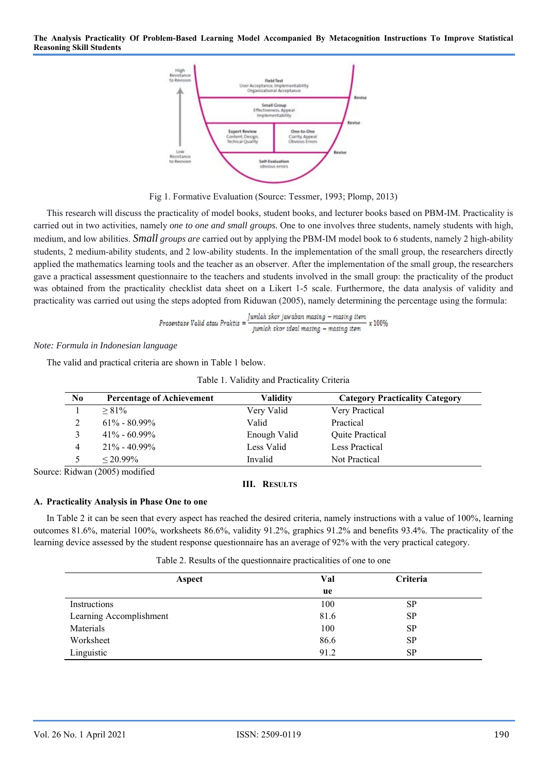

Fig 1. Formative Evaluation (Source: Tessmer, 1993; Plomp, 2013)

This research will discuss the practicality of model books, student books, and lecturer books based on PBM-IM. Practicality is carried out in two activities, namely *one to one and small groups.* One to one involves three students, namely students with high, medium, and low abilities. *Small groups are* carried out by applying the PBM-IM model book to 6 students, namely 2 high-ability students, 2 medium-ability students, and 2 low-ability students. In the implementation of the small group, the researchers directly applied the mathematics learning tools and the teacher as an observer. After the implementation of the small group, the researchers gave a practical assessment questionnaire to the teachers and students involved in the small group: the practicality of the product was obtained from the practicality checklist data sheet on a Likert 1-5 scale. Furthermore, the data analysis of validity and practicality was carried out using the steps adopted from Riduwan (2005), namely determining the percentage using the formula:

$$
Prosentase Valid atau Praktis = \frac{Jumlah skor jawaban masing - masing item}{jumlah skor ideal masing - masing item} \times 100\%
$$

## *Note: Formula in Indonesian language*

The valid and practical criteria are shown in Table 1 below.

| N <sub>0</sub> | <b>Percentage of Achievement</b> | <b>Validity</b> | <b>Category Practicality Category</b> |
|----------------|----------------------------------|-----------------|---------------------------------------|
|                | $> 81\%$                         | Very Valid      | Very Practical                        |
|                | $61\% - 80.99\%$                 | Valid           | Practical                             |
|                | $41\% - 60.99\%$                 | Enough Valid    | Quite Practical                       |
| $\overline{4}$ | $21\% - 40.99\%$                 | Less Valid      | Less Practical                        |
|                | $< 20.99\%$                      | Invalid         | Not Practical                         |
|                | $\cdot$ Ridwan (2005) modified   |                 |                                       |

Source: Ridwan (2005) modified

## **III. RESULTS**

## **A. Practicality Analysis in Phase One to one**

In Table 2 it can be seen that every aspect has reached the desired criteria, namely instructions with a value of 100%, learning outcomes 81.6%, material 100%, worksheets 86.6%, validity 91.2%, graphics 91.2% and benefits 93.4%. The practicality of the learning device assessed by the student response questionnaire has an average of 92% with the very practical category.

Table 2. Results of the questionnaire practicalities of one to one

| Aspect                  | Val  | Criteria  |  |
|-------------------------|------|-----------|--|
|                         | ue   |           |  |
| Instructions            | 100  | <b>SP</b> |  |
| Learning Accomplishment | 81.6 | <b>SP</b> |  |
| Materials               | 100  | <b>SP</b> |  |
| Worksheet               | 86.6 | <b>SP</b> |  |
| Linguistic              | 91.2 | <b>SP</b> |  |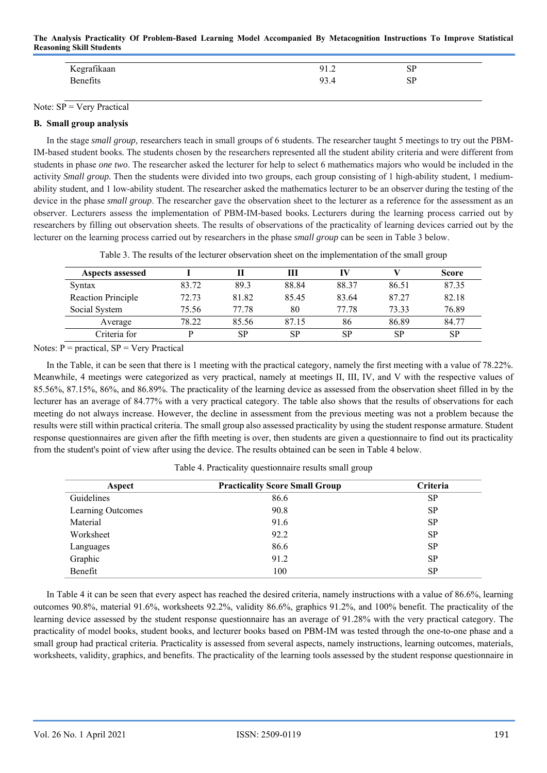| Kegrafikaan | 91.2 | <b>SP</b> |  |
|-------------|------|-----------|--|
| Benefits    | 93.4 | <b>SP</b> |  |
|             |      |           |  |

Note:  $SP = Very Practical$ 

## **B. Small group analysis**

In the stage *small group,* researchers teach in small groups of 6 students. The researcher taught 5 meetings to try out the PBM-IM-based student books*.* The students chosen by the researchers represented all the student ability criteria and were different from students in phase *one two*. The researcher asked the lecturer for help to select 6 mathematics majors who would be included in the activity *Small group.* Then the students were divided into two groups, each group consisting of 1 high-ability student, 1 mediumability student, and 1 low-ability student. The researcher asked the mathematics lecturer to be an observer during the testing of the device in the phase *small group*. The researcher gave the observation sheet to the lecturer as a reference for the assessment as an observer. Lecturers assess the implementation of PBM-IM-based books*.* Lecturers during the learning process carried out by researchers by filling out observation sheets. The results of observations of the practicality of learning devices carried out by the lecturer on the learning process carried out by researchers in the phase *small group* can be seen in Table 3 below.

Table 3. The results of the lecturer observation sheet on the implementation of the small group

| Aspects assessed   |       |       | Ш         | IV    |       | <b>Score</b> |
|--------------------|-------|-------|-----------|-------|-------|--------------|
| Syntax             | 83.72 | 89.3  | 88.84     | 88.37 | 86.51 | 87.35        |
| Reaction Principle | 72.73 | 81.82 | 85.45     | 83.64 | 87.27 | 82.18        |
| Social System      | 75.56 | 77.78 | 80        | 77.78 | 73.33 | 76.89        |
| Average            | 78.22 | 85.56 | 87.15     | 86    | 86.89 | 84.77        |
| Criteria for       |       | SP    | <b>SP</b> | SP    | SP    | <b>SP</b>    |

Notes:  $P =$  practical,  $SP =$  Very Practical

In the Table, it can be seen that there is 1 meeting with the practical category, namely the first meeting with a value of 78.22%. Meanwhile, 4 meetings were categorized as very practical, namely at meetings II, III, IV, and V with the respective values of 85.56%, 87.15%, 86%, and 86.89%. The practicality of the learning device as assessed from the observation sheet filled in by the lecturer has an average of 84.77% with a very practical category. The table also shows that the results of observations for each meeting do not always increase. However, the decline in assessment from the previous meeting was not a problem because the results were still within practical criteria. The small group also assessed practicality by using the student response armature. Student response questionnaires are given after the fifth meeting is over, then students are given a questionnaire to find out its practicality from the student's point of view after using the device. The results obtained can be seen in Table 4 below.

| Aspect            | <b>Practicality Score Small Group</b> | Criteria  |
|-------------------|---------------------------------------|-----------|
| Guidelines        | 86.6                                  | <b>SP</b> |
| Learning Outcomes | 90.8                                  | <b>SP</b> |
| Material          | 91.6                                  | <b>SP</b> |
| Worksheet         | 92.2                                  | <b>SP</b> |
| Languages         | 86.6                                  | <b>SP</b> |
| Graphic           | 91.2                                  | <b>SP</b> |
| Benefit           | 100                                   | SP        |

Table 4. Practicality questionnaire results small group

In Table 4 it can be seen that every aspect has reached the desired criteria, namely instructions with a value of 86.6%, learning outcomes 90.8%, material 91.6%, worksheets 92.2%, validity 86.6%, graphics 91.2%, and 100% benefit. The practicality of the learning device assessed by the student response questionnaire has an average of 91.28% with the very practical category. The practicality of model books, student books, and lecturer books based on PBM-IM was tested through the one-to-one phase and a small group had practical criteria. Practicality is assessed from several aspects, namely instructions, learning outcomes, materials, worksheets, validity, graphics, and benefits. The practicality of the learning tools assessed by the student response questionnaire in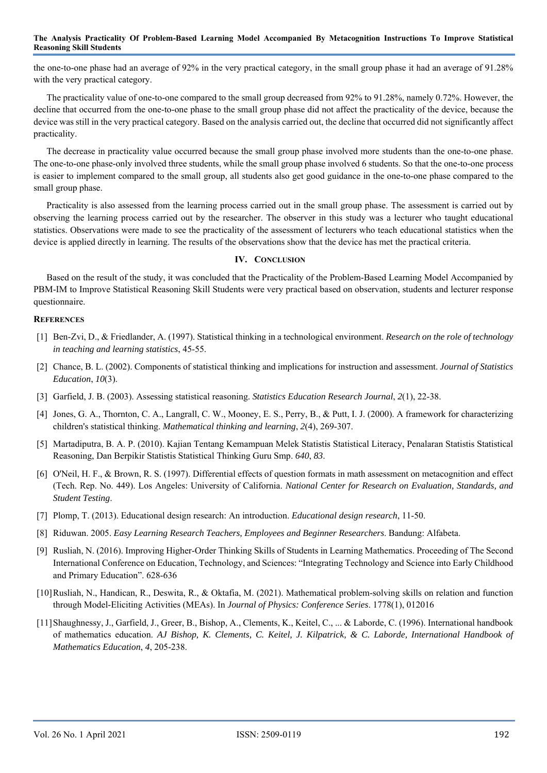the one-to-one phase had an average of 92% in the very practical category, in the small group phase it had an average of 91.28% with the very practical category.

The practicality value of one-to-one compared to the small group decreased from 92% to 91.28%, namely 0.72%. However, the decline that occurred from the one-to-one phase to the small group phase did not affect the practicality of the device, because the device was still in the very practical category. Based on the analysis carried out, the decline that occurred did not significantly affect practicality.

The decrease in practicality value occurred because the small group phase involved more students than the one-to-one phase. The one-to-one phase-only involved three students, while the small group phase involved 6 students. So that the one-to-one process is easier to implement compared to the small group, all students also get good guidance in the one-to-one phase compared to the small group phase.

Practicality is also assessed from the learning process carried out in the small group phase. The assessment is carried out by observing the learning process carried out by the researcher. The observer in this study was a lecturer who taught educational statistics. Observations were made to see the practicality of the assessment of lecturers who teach educational statistics when the device is applied directly in learning. The results of the observations show that the device has met the practical criteria.

#### **IV. CONCLUSION**

Based on the result of the study, it was concluded that the Practicality of the Problem-Based Learning Model Accompanied by PBM-IM to Improve Statistical Reasoning Skill Students were very practical based on observation, students and lecturer response questionnaire.

#### **REFERENCES**

- [1] Ben-Zvi, D., & Friedlander, A. (1997). Statistical thinking in a technological environment. *Research on the role of technology in teaching and learning statistics*, 45-55.
- [2] Chance, B. L. (2002). Components of statistical thinking and implications for instruction and assessment. *Journal of Statistics Education*, *10*(3).
- [3] Garfield, J. B. (2003). Assessing statistical reasoning. *Statistics Education Research Journal*, *2*(1), 22-38.
- [4] Jones, G. A., Thornton, C. A., Langrall, C. W., Mooney, E. S., Perry, B., & Putt, I. J. (2000). A framework for characterizing children's statistical thinking. *Mathematical thinking and learning*, *2*(4), 269-307.
- [5] Martadiputra, B. A. P. (2010). Kajian Tentang Kemampuan Melek Statistis Statistical Literacy, Penalaran Statistis Statistical Reasoning, Dan Berpikir Statistis Statistical Thinking Guru Smp. *640*, *83*.
- [6] O'Neil, H. F., & Brown, R. S. (1997). Differential effects of question formats in math assessment on metacognition and effect (Tech. Rep. No. 449). Los Angeles: University of California. *National Center for Research on Evaluation, Standards, and Student Testing*.
- [7] Plomp, T. (2013). Educational design research: An introduction. *Educational design research*, 11-50.
- [8] Riduwan. 2005. *Easy Learning Research Teachers, Employees and Beginner Researchers*. Bandung: Alfabeta.
- [9] Rusliah, N. (2016). Improving Higher-Order Thinking Skills of Students in Learning Mathematics. Proceeding of The Second International Conference on Education, Technology, and Sciences: "Integrating Technology and Science into Early Childhood and Primary Education". 628-636
- [10]Rusliah, N., Handican, R., Deswita, R., & Oktafia, M. (2021). Mathematical problem-solving skills on relation and function through Model-Eliciting Activities (MEAs). In *Journal of Physics: Conference Series*. 1778(1), 012016
- [11]Shaughnessy, J., Garfield, J., Greer, B., Bishop, A., Clements, K., Keitel, C., ... & Laborde, C. (1996). International handbook of mathematics education. *AJ Bishop, K. Clements, C. Keitel, J. Kilpatrick, & C. Laborde, International Handbook of Mathematics Education*, *4*, 205-238.